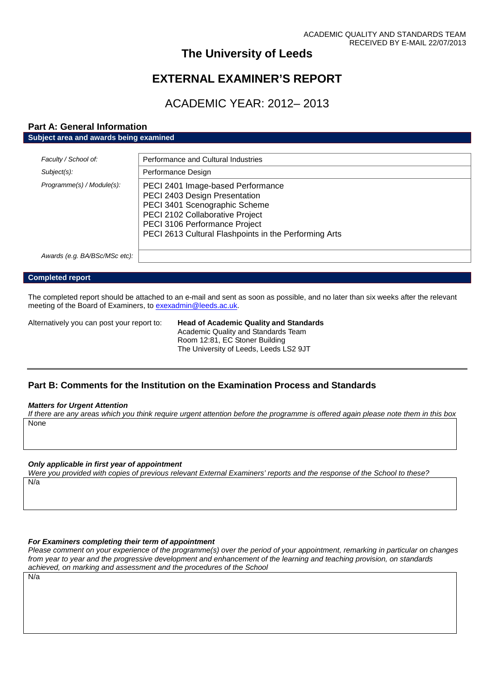# **The University of Leeds**

# **EXTERNAL EXAMINER'S REPORT**

# ACADEMIC YEAR: 2012– 2013

# **Part A: General Information**

**Subject area and awards being examined**

| Faculty / School of:          | Performance and Cultural Industries                                                                                                                                                                                              |
|-------------------------------|----------------------------------------------------------------------------------------------------------------------------------------------------------------------------------------------------------------------------------|
| Subject(s):                   | Performance Design                                                                                                                                                                                                               |
| Programme(s) / Module(s):     | PECI 2401 Image-based Performance<br>PECI 2403 Design Presentation<br>PECI 3401 Scenographic Scheme<br>PECI 2102 Collaborative Project<br>PECI 3106 Performance Project<br>PECI 2613 Cultural Flashpoints in the Performing Arts |
| Awards (e.g. BA/BSc/MSc etc): |                                                                                                                                                                                                                                  |

#### **Completed report**

The completed report should be attached to an e-mail and sent as soon as possible, and no later than six weeks after the relevant meeting of the Board of Examiners, to [exexadmin@leeds.ac.uk.](mailto:exexadmin@leeds.ac.uk)

Alternatively you can post your report to: **Head of Academic Quality and Standards** Academic Quality and Standards Team Room 12:81, EC Stoner Building The University of Leeds, Leeds LS2 9JT

# **Part B: Comments for the Institution on the Examination Process and Standards**

#### *Matters for Urgent Attention*

*If there are any areas which you think require urgent attention before the programme is offered again please note them in this box* None

#### *Only applicable in first year of appointment*

*Were you provided with copies of previous relevant External Examiners' reports and the response of the School to these?* N/a

# *For Examiners completing their term of appointment*

*Please comment on your experience of the programme(s) over the period of your appointment, remarking in particular on changes from year to year and the progressive development and enhancement of the learning and teaching provision, on standards achieved, on marking and assessment and the procedures of the School*

N/a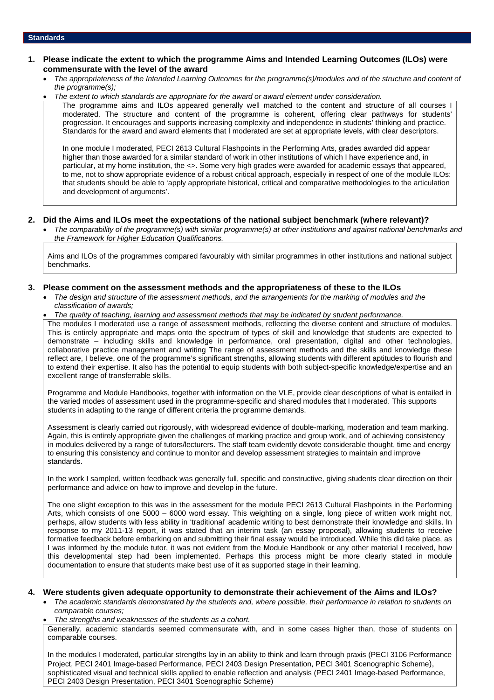## **1. Please indicate the extent to which the programme Aims and Intended Learning Outcomes (ILOs) were commensurate with the level of the award**

- *The appropriateness of the Intended Learning Outcomes for the programme(s)/modules and of the structure and content of the programme(s);*
- *The extent to which standards are appropriate for the award or award element under consideration.*

The programme aims and ILOs appeared generally well matched to the content and structure of all courses I moderated. The structure and content of the programme is coherent, offering clear pathways for students' progression. It encourages and supports increasing complexity and independence in students' thinking and practice. Standards for the award and award elements that I moderated are set at appropriate levels, with clear descriptors.

In one module I moderated, PECI 2613 Cultural Flashpoints in the Performing Arts, grades awarded did appear higher than those awarded for a similar standard of work in other institutions of which I have experience and, in particular, at my home institution, the <>. Some very high grades were awarded for academic essays that appeared, to me, not to show appropriate evidence of a robust critical approach, especially in respect of one of the module ILOs: that students should be able to 'apply appropriate historical, critical and comparative methodologies to the articulation and development of arguments'.

### **2. Did the Aims and ILOs meet the expectations of the national subject benchmark (where relevant)?**

 *The comparability of the programme(s) with similar programme(s) at other institutions and against national benchmarks and the Framework for Higher Education Qualifications.*

Aims and ILOs of the programmes compared favourably with similar programmes in other institutions and national subject benchmarks.

### **3. Please comment on the assessment methods and the appropriateness of these to the ILOs**

- *The design and structure of the assessment methods, and the arrangements for the marking of modules and the classification of awards;*
- *The quality of teaching, learning and assessment methods that may be indicated by student performance.*

The modules I moderated use a range of assessment methods, reflecting the diverse content and structure of modules. This is entirely appropriate and maps onto the spectrum of types of skill and knowledge that students are expected to demonstrate – including skills and knowledge in performance, oral presentation, digital and other technologies, collaborative practice management and writing The range of assessment methods and the skills and knowledge these reflect are, I believe, one of the programme's significant strengths, allowing students with different aptitudes to flourish and to extend their expertise. It also has the potential to equip students with both subject-specific knowledge/expertise and an excellent range of transferrable skills.

Programme and Module Handbooks, together with information on the VLE, provide clear descriptions of what is entailed in the varied modes of assessment used in the programme-specific and shared modules that I moderated. This supports students in adapting to the range of different criteria the programme demands.

Assessment is clearly carried out rigorously, with widespread evidence of double-marking, moderation and team marking. Again, this is entirely appropriate given the challenges of marking practice and group work, and of achieving consistency in modules delivered by a range of tutors/lecturers. The staff team evidently devote considerable thought, time and energy to ensuring this consistency and continue to monitor and develop assessment strategies to maintain and improve standards.

In the work I sampled, written feedback was generally full, specific and constructive, giving students clear direction on their performance and advice on how to improve and develop in the future.

The one slight exception to this was in the assessment for the module PECI 2613 Cultural Flashpoints in the Performing Arts, which consists of one 5000 – 6000 word essay. This weighting on a single, long piece of written work might not, perhaps, allow students with less ability in 'traditional' academic writing to best demonstrate their knowledge and skills. In response to my 2011-13 report, it was stated that an interim task (an essay proposal), allowing students to receive formative feedback before embarking on and submitting their final essay would be introduced. While this did take place, as I was informed by the module tutor, it was not evident from the Module Handbook or any other material I received, how this developmental step had been implemented. Perhaps this process might be more clearly stated in module documentation to ensure that students make best use of it as supported stage in their learning.

#### **4. Were students given adequate opportunity to demonstrate their achievement of the Aims and ILOs?**

- *The academic standards demonstrated by the students and, where possible, their performance in relation to students on comparable courses;*
- *The strengths and weaknesses of the students as a cohort.*

Generally, academic standards seemed commensurate with, and in some cases higher than, those of students on comparable courses.

In the modules I moderated, particular strengths lay in an ability to think and learn through praxis (PECI 3106 Performance Project, PECI 2401 Image-based Performance, PECI 2403 Design Presentation, PECI 3401 Scenographic Scheme), sophisticated visual and technical skills applied to enable reflection and analysis (PECI 2401 Image-based Performance, PECI 2403 Design Presentation, PECI 3401 Scenographic Scheme)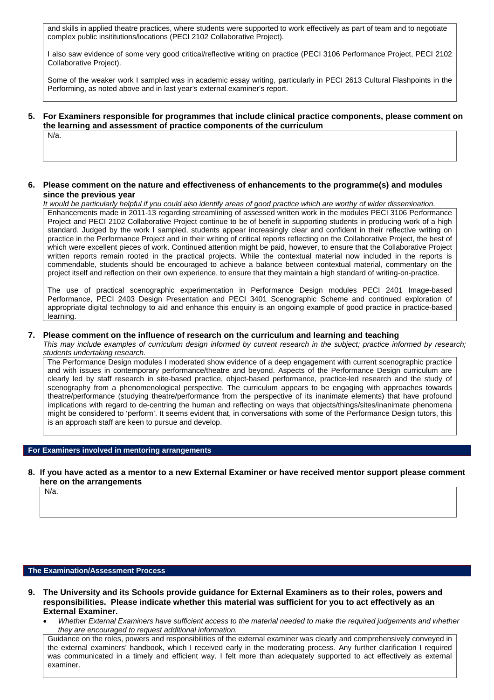and skills in applied theatre practices, where students were supported to work effectively as part of team and to negotiate complex public insititutions/locations (PECI 2102 Collaborative Project).

I also saw evidence of some very good critical/reflective writing on practice (PECI 3106 Performance Project, PECI 2102 Collaborative Project).

Some of the weaker work I sampled was in academic essay writing, particularly in PECI 2613 Cultural Flashpoints in the Performing, as noted above and in last year's external examiner's report.

**5. For Examiners responsible for programmes that include clinical practice components, please comment on the learning and assessment of practice components of the curriculum** N/a.

### **6. Please comment on the nature and effectiveness of enhancements to the programme(s) and modules since the previous year**

*It would be particularly helpful if you could also identify areas of good practice which are worthy of wider dissemination.*

Enhancements made in 2011-13 regarding streamlining of assessed written work in the modules PECI 3106 Performance Project and PECI 2102 Collaborative Project continue to be of benefit in supporting students in producing work of a high standard. Judged by the work I sampled, students appear increasingly clear and confident in their reflective writing on practice in the Performance Project and in their writing of critical reports reflecting on the Collaborative Project, the best of which were excellent pieces of work. Continued attention might be paid, however, to ensure that the Collaborative Project written reports remain rooted in the practical projects. While the contextual material now included in the reports is commendable, students should be encouraged to achieve a balance between contextual material, commentary on the project itself and reflection on their own experience, to ensure that they maintain a high standard of writing-on-practice.

The use of practical scenographic experimentation in Performance Design modules PECI 2401 Image-based Performance, PECI 2403 Design Presentation and PECI 3401 Scenographic Scheme and continued exploration of appropriate digital technology to aid and enhance this enquiry is an ongoing example of good practice in practice-based learning.

#### **7. Please comment on the influence of research on the curriculum and learning and teaching**

*This may include examples of curriculum design informed by current research in the subject; practice informed by research; students undertaking research.*

The Performance Design modules I moderated show evidence of a deep engagement with current scenographic practice and with issues in contemporary performance/theatre and beyond. Aspects of the Performance Design curriculum are clearly led by staff research in site-based practice, object-based performance, practice-led research and the study of scenography from a phenomenological perspective. The curriculum appears to be engaging with approaches towards theatre/performance (studying theatre/performance from the perspective of its inanimate elements) that have profound implications with regard to de-centring the human and reflecting on ways that objects/things/sites/inanimate phenomena might be considered to 'perform'. It seems evident that, in conversations with some of the Performance Design tutors, this is an approach staff are keen to pursue and develop.

# **For Examiners involved in mentoring arrangements**

## **8. If you have acted as a mentor to a new External Examiner or have received mentor support please comment here on the arrangements**

N/a.

#### **The Examination/Assessment Process**

- **9. The University and its Schools provide guidance for External Examiners as to their roles, powers and responsibilities. Please indicate whether this material was sufficient for you to act effectively as an External Examiner.**
	- *Whether External Examiners have sufficient access to the material needed to make the required judgements and whether they are encouraged to request additional information.*

Guidance on the roles, powers and responsibilities of the external examiner was clearly and comprehensively conveyed in the external examiners' handbook, which I received early in the moderating process. Any further clarification I required was communicated in a timely and efficient way. I felt more than adequately supported to act effectively as external examiner.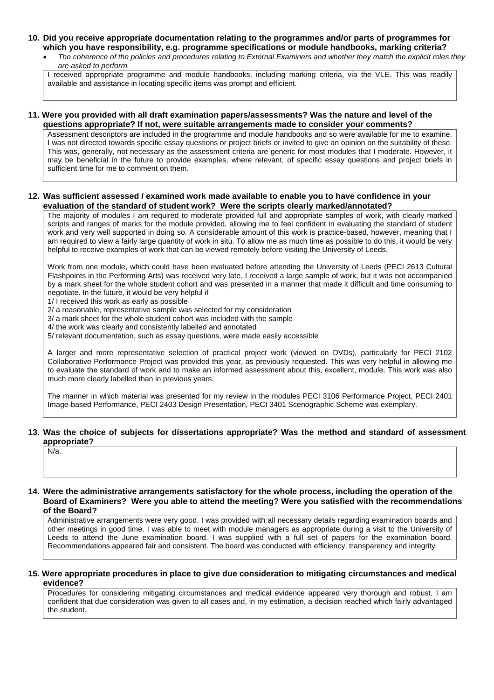# **10. Did you receive appropriate documentation relating to the programmes and/or parts of programmes for which you have responsibility, e.g. programme specifications or module handbooks, marking criteria?**

 *The coherence of the policies and procedures relating to External Examiners and whether they match the explicit roles they are asked to perform.*

I received appropriate programme and module handbooks, including marking criteria, via the VLE. This was readily available and assistance in locating specific items was prompt and efficient.

## **11. Were you provided with all draft examination papers/assessments? Was the nature and level of the questions appropriate? If not, were suitable arrangements made to consider your comments?**

Assessment descriptors are included in the programme and module handbooks and so were available for me to examine. I was not directed towards specific essay questions or project briefs or invited to give an opinion on the suitability of these. This was, generally, not necessary as the assessment criteria are generic for most modules that I moderate. However, it may be beneficial in the future to provide examples, where relevant, of specific essay questions and project briefs in sufficient time for me to comment on them.

# **12. Was sufficient assessed / examined work made available to enable you to have confidence in your evaluation of the standard of student work? Were the scripts clearly marked/annotated?**

The majority of modules I am required to moderate provided full and appropriate samples of work, with clearly marked scripts and ranges of marks for the module provided, allowing me to feel confident in evaluating the standard of student work and very well supported in doing so. A considerable amount of this work is practice-based, however, meaning that I am required to view a fairly large quantity of work in situ. To allow me as much time as possible to do this, it would be very helpful to receive examples of work that can be viewed remotely before visiting the University of Leeds.

Work from one module, which could have been evaluated before attending the University of Leeds (PECI 2613 Cultural Flashpoints in the Performing Arts) was received very late. I received a large sample of work, but it was not accompanied by a mark sheet for the whole student cohort and was presented in a manner that made it difficult and time consuming to negotiate. In the future, it would be very helpful if

1/ I received this work as early as possible

2/ a reasonable, representative sample was selected for my consideration

- 3/ a mark sheet for the whole student cohort was included with the sample
- 4/ the work was clearly and consistently labelled and annotated
- 5/ relevant documentation, such as essay questions, were made easily accessible

A larger and more representative selection of practical project work (viewed on DVDs), particularly for PECI 2102 Collaborative Performance Project was provided this year, as previously requested. This was very helpful in allowing me to evaluate the standard of work and to make an informed assessment about this, excellent, module. This work was also much more clearly labelled than in previous years.

The manner in which material was presented for my review in the modules PECI 3106 Performance Project, PECI 2401 Image-based Performance, PECI 2403 Design Presentation, PECI 3401 Scenographic Scheme was exemplary.

# **13. Was the choice of subjects for dissertations appropriate? Was the method and standard of assessment appropriate?**

N/a.

#### **14. Were the administrative arrangements satisfactory for the whole process, including the operation of the Board of Examiners? Were you able to attend the meeting? Were you satisfied with the recommendations of the Board?**

Administrative arrangements were very good. I was provided with all necessary details regarding examination boards and other meetings in good time. I was able to meet with module managers as appropriate during a visit to the University of Leeds to attend the June examination board. I was supplied with a full set of papers for the examination board. Recommendations appeared fair and consistent. The board was conducted with efficiency, transparency and integrity.

### **15. Were appropriate procedures in place to give due consideration to mitigating circumstances and medical evidence?**

Procedures for considering mitigating circumstances and medical evidence appeared very thorough and robust. I am confident that due consideration was given to all cases and, in my estimation, a decision reached which fairly advantaged the student.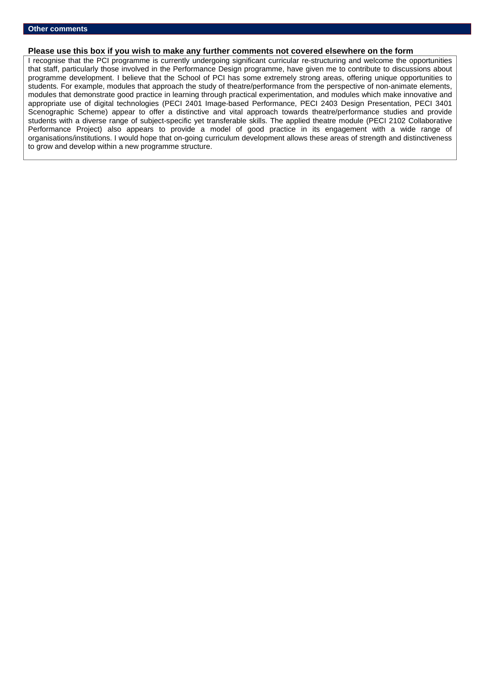### **Please use this box if you wish to make any further comments not covered elsewhere on the form**

I recognise that the PCI programme is currently undergoing significant curricular re-structuring and welcome the opportunities that staff, particularly those involved in the Performance Design programme, have given me to contribute to discussions about programme development. I believe that the School of PCI has some extremely strong areas, offering unique opportunities to students. For example, modules that approach the study of theatre/performance from the perspective of non-animate elements, modules that demonstrate good practice in learning through practical experimentation, and modules which make innovative and appropriate use of digital technologies (PECI 2401 Image-based Performance, PECI 2403 Design Presentation, PECI 3401 Scenographic Scheme) appear to offer a distinctive and vital approach towards theatre/performance studies and provide students with a diverse range of subject-specific yet transferable skills. The applied theatre module (PECI 2102 Collaborative Performance Project) also appears to provide a model of good practice in its engagement with a wide range of organisations/institutions. I would hope that on-going curriculum development allows these areas of strength and distinctiveness to grow and develop within a new programme structure.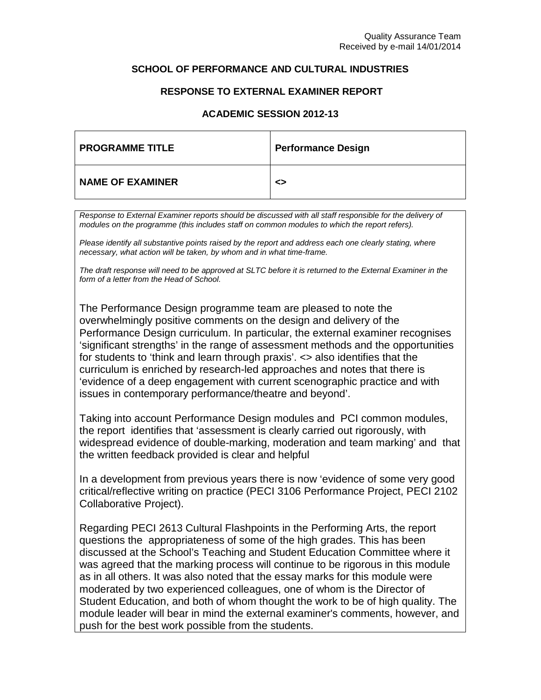# **SCHOOL OF PERFORMANCE AND CULTURAL INDUSTRIES**

# **RESPONSE TO EXTERNAL EXAMINER REPORT**

# **ACADEMIC SESSION 2012-13**

| <b>PROGRAMME TITLE</b>  | <b>Performance Design</b> |
|-------------------------|---------------------------|
| <b>NAME OF EXAMINER</b> | <>                        |

*Response to External Examiner reports should be discussed with all staff responsible for the delivery of modules on the programme (this includes staff on common modules to which the report refers).*

*Please identify all substantive points raised by the report and address each one clearly stating, where necessary, what action will be taken, by whom and in what time-frame.*

*The draft response will need to be approved at SLTC before it is returned to the External Examiner in the form of a letter from the Head of School.*

The Performance Design programme team are pleased to note the overwhelmingly positive comments on the design and delivery of the Performance Design curriculum. In particular, the external examiner recognises 'significant strengths' in the range of assessment methods and the opportunities for students to 'think and learn through praxis'. <> also identifies that the curriculum is enriched by research-led approaches and notes that there is 'evidence of a deep engagement with current scenographic practice and with issues in contemporary performance/theatre and beyond'.

Taking into account Performance Design modules and PCI common modules, the report identifies that 'assessment is clearly carried out rigorously, with widespread evidence of double-marking, moderation and team marking' and that the written feedback provided is clear and helpful

In a development from previous years there is now 'evidence of some very good critical/reflective writing on practice (PECI 3106 Performance Project, PECI 2102 Collaborative Project).

Regarding PECI 2613 Cultural Flashpoints in the Performing Arts, the report questions the appropriateness of some of the high grades. This has been discussed at the School's Teaching and Student Education Committee where it was agreed that the marking process will continue to be rigorous in this module as in all others. It was also noted that the essay marks for this module were moderated by two experienced colleagues, one of whom is the Director of Student Education, and both of whom thought the work to be of high quality. The module leader will bear in mind the external examiner's comments, however, and push for the best work possible from the students.